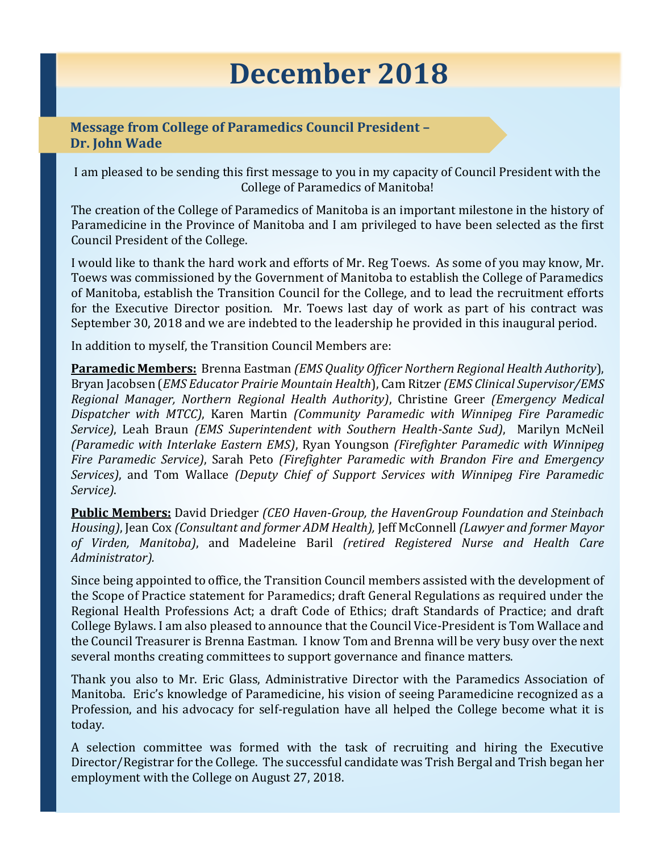# **December 2018**

## **Message from College of Paramedics Council President – Dr. John Wade**

I am pleased to be sending this first message to you in my capacity of Council President with the College of Paramedics of Manitoba!

The creation of the College of Paramedics of Manitoba is an important milestone in the history of Paramedicine in the Province of Manitoba and I am privileged to have been selected as the first Council President of the College.

I would like to thank the hard work and efforts of Mr. Reg Toews. As some of you may know, Mr. Toews was commissioned by the Government of Manitoba to establish the College of Paramedics of Manitoba, establish the Transition Council for the College, and to lead the recruitment efforts for the Executive Director position. Mr. Toews last day of work as part of his contract was September 30, 2018 and we are indebted to the leadership he provided in this inaugural period.

In addition to myself, the Transition Council Members are:

**Paramedic Members:** Brenna Eastman *(EMS Quality Officer Northern Regional Health Authority*), Bryan Jacobsen (*EMS Educator Prairie Mountain Health*), Cam Ritzer *(EMS Clinical Supervisor/EMS Regional Manager, Northern Regional Health Authority)*, Christine Greer *(Emergency Medical Dispatcher with MTCC)*, Karen Martin *(Community Paramedic with Winnipeg Fire Paramedic Service)*, Leah Braun *(EMS Superintendent with Southern Health-Sante Sud)*, Marilyn McNeil *(Paramedic with Interlake Eastern EMS)*, Ryan Youngson *(Firefighter Paramedic with Winnipeg Fire Paramedic Service)*, Sarah Peto *(Firefighter Paramedic with Brandon Fire and Emergency Services)*, and Tom Wallace *(Deputy Chief of Support Services with Winnipeg Fire Paramedic Service)*.

**Public Members:** David Driedger *(CEO Haven-Group, the HavenGroup Foundation and Steinbach Housing)*, Jean Cox *(Consultant and former ADM Health),* Jeff McConnell *(Lawyer and former Mayor of Virden, Manitoba)*, and Madeleine Baril *(retired Registered Nurse and Health Care Administrator).*

Since being appointed to office, the Transition Council members assisted with the development of the Scope of Practice statement for Paramedics; draft General Regulations as required under the Regional Health Professions Act; a draft Code of Ethics; draft Standards of Practice; and draft College Bylaws. I am also pleased to announce that the Council Vice-President is Tom Wallace and the Council Treasurer is Brenna Eastman. I know Tom and Brenna will be very busy over the next several months creating committees to support governance and finance matters.

Thank you also to Mr. Eric Glass, Administrative Director with the Paramedics Association of Manitoba. Eric's knowledge of Paramedicine, his vision of seeing Paramedicine recognized as a Profession, and his advocacy for self-regulation have all helped the College become what it is today.

A selection committee was formed with the task of recruiting and hiring the Executive Director/Registrar for the College. The successful candidate was Trish Bergal and Trish began her employment with the College on August 27, 2018.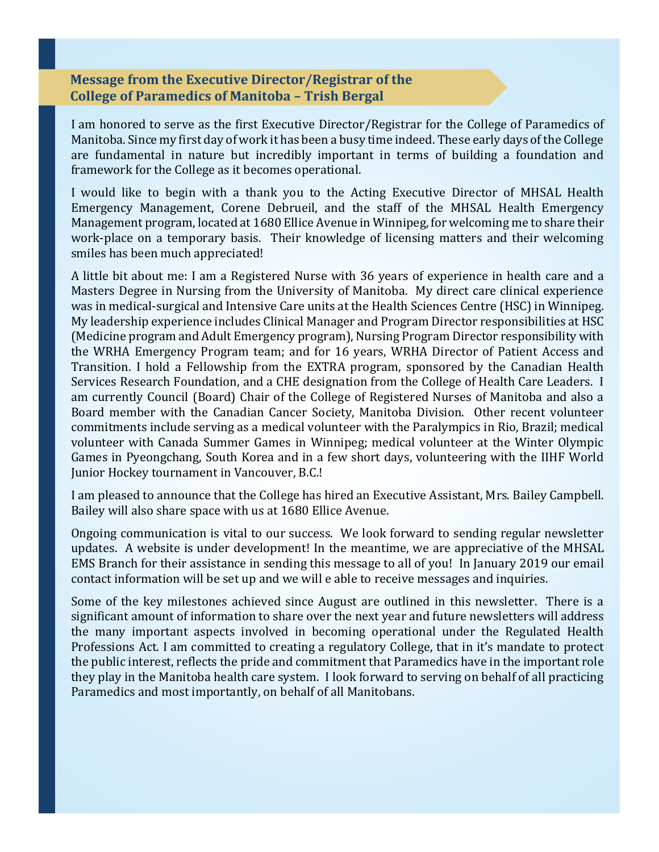#### **Message from the Executive Director/Registrar of the College of Paramedics of Manitoba – Trish Bergal**

I am honored to serve as the first Executive Director/Registrar for the College of Paramedics of Manitoba. Since my first day of work it has been a busy time indeed. These early days of the College are fundamental in nature but incredibly important in terms of building a foundation and framework for the College as it becomes operational.

I would like to begin with a thank you to the Acting Executive Director of MHSAL Health Emergency Management, Corene Debrueil, and the staff of the MHSAL Health Emergency Management program, located at 1680 Ellice Avenue in Winnipeg, for welcoming me to share their work-place on a temporary basis. Their knowledge of licensing matters and their welcoming smiles has been much appreciated!

A little bit about me: I am a Registered Nurse with 36 years of experience in health care and a Masters Degree in Nursing from the University of Manitoba. My direct care clinical experience was in medical-surgical and Intensive Care units at the Health Sciences Centre (HSC) in Winnipeg. My leadership experience includes Clinical Manager and Program Director responsibilities at HSC (Medicine program and Adult Emergency program), Nursing Program Director responsibility with the WRHA Emergency Program team; and for 16 years, WRHA Director of Patient Access and Transition. I hold a Fellowship from the EXTRA program, sponsored by the Canadian Health Services Research Foundation, and a CHE designation from the College of Health Care Leaders. I am currently Council (Board) Chair of the College of Registered Nurses of Manitoba and also a Board member with the Canadian Cancer Society, Manitoba Division. Other recent volunteer commitments include serving as a medical volunteer with the Paralympics in Rio, Brazil; medical volunteer with Canada Summer Games in Winnipeg; medical volunteer at the Winter Olympic Games in Pyeongchang, South Korea and in a few short days, volunteering with the IIHF World Junior Hockey tournament in Vancouver, B.C.!

I am pleased to announce that the College has hired an Executive Assistant, Mrs. Bailey Campbell. Bailey will also share space with us at 1680 Ellice Avenue.

Ongoing communication is vital to our success. We look forward to sending regular newsletter updates. A website is under development! In the meantime, we are appreciative of the MHSAL EMS Branch for their assistance in sending this message to all of you! In January 2019 our email contact information will be set up and we will e able to receive messages and inquiries.

Some of the key milestones achieved since August are outlined in this newsletter. There is a significant amount of information to share over the next year and future newsletters will address the many important aspects involved in becoming operational under the Regulated Health Professions Act. I am committed to creating a regulatory College, that in it's mandate to protect the public interest, reflects the pride and commitment that Paramedics have in the important role they play in the Manitoba health care system. I look forward to serving on behalf of all practicing Paramedics and most importantly, on behalf of all Manitobans.